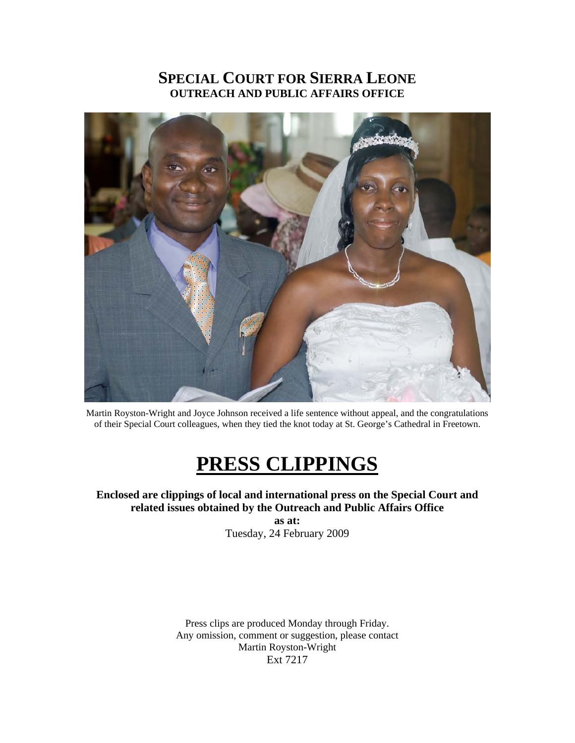# **SPECIAL COURT FOR SIERRA LEONE OUTREACH AND PUBLIC AFFAIRS OFFICE**



Martin Royston-Wright and Joyce Johnson received a life sentence without appeal, and the congratulations of their Special Court colleagues, when they tied the knot today at St. George's Cathedral in Freetown.

# **PRESS CLIPPINGS**

**Enclosed are clippings of local and international press on the Special Court and related issues obtained by the Outreach and Public Affairs Office as at:** 

Tuesday, 24 February 2009

Press clips are produced Monday through Friday. Any omission, comment or suggestion, please contact Martin Royston-Wright Ext 7217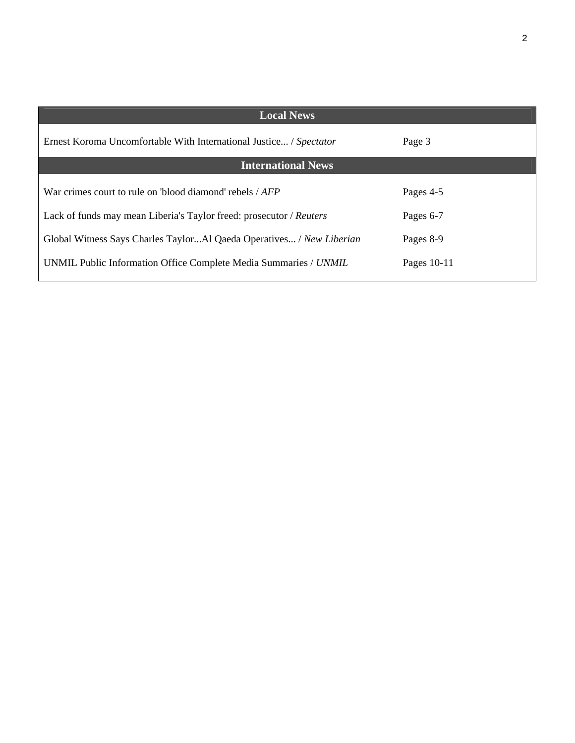| <b>Local News</b>                                                    |             |
|----------------------------------------------------------------------|-------------|
| Ernest Koroma Uncomfortable With International Justice / Spectator   | Page 3      |
| <b>International News</b>                                            |             |
| War crimes court to rule on 'blood diamond' rebels $\angle AFP$      | Pages 4-5   |
| Lack of funds may mean Liberia's Taylor freed: prosecutor / Reuters  | Pages 6-7   |
| Global Witness Says Charles TaylorAl Qaeda Operatives / New Liberian | Pages 8-9   |
| UNMIL Public Information Office Complete Media Summaries / UNMIL     | Pages 10-11 |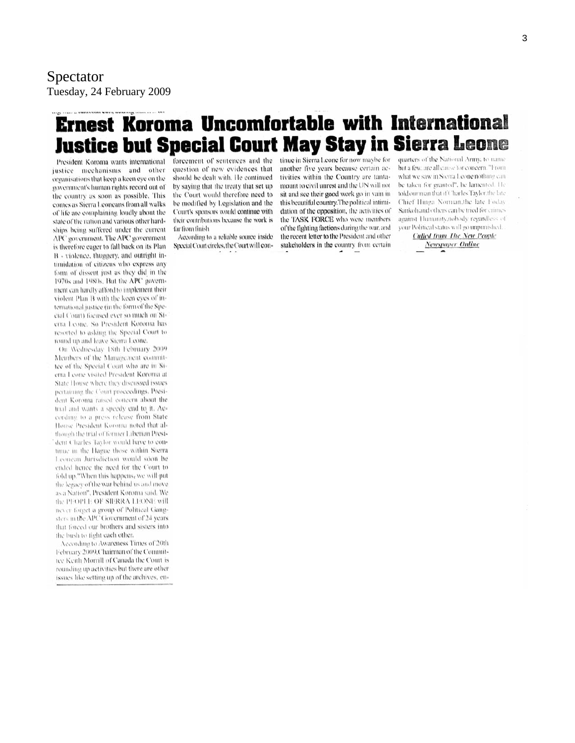# **Ernest Koroma Uncomfortable with International Justice but Special Court May Stay in Sierra Leone**

President Koroma wants international justice mechanisms and other organisations that keep a keen eye on the government's human rights record out of the country as soon as possible. This comes as Sierra Leoneans from all walks of life are complaining loudly about the state of the nation and various other hardships being suffered under the current APC government. The APC government is therefore eager to fall back on its Plan B - violence, thuggery, and outright intimidation of citizens who express any form of dissent just as they did in the 1970s and 1980s. But the APC government can hardly afford to implement their violent Plan B with the keen eyes of international justice (in the form of the Special Court) focused ever so much on Sierra Leone. So President Koroma has resorted to asking the Special Court to round up and leave Sterra Leone.

On Wednesday 18th February 2009 Members of the Management committee of the Special Court who are in Sierra Leone visited President Koroma at State House where they discussed issues pertaining the Court proceedings, President Koroma raised concern about the trial and wants a speedy end to it. According to a press release from State House President Koroma noted that although the trial of former Liberian Presidont Charles Taylor would have to continue in the Hague those within Sterra Leonean Jurisdiction would soon be ended hence the need for the Court to fold up."When this happens, we will put the legacy of the war behind us and move as a Nation", President Koroma said. We the PFOPLE OF SIERRA LEONE will never forget a group of Political Gangsters in the APC Government of 24 years that forced our brothers and sisters into the bush to fight each other.

According to Awareness Times of 20th February 2009, Chairman of the Committee Keith Morrill of Canada the Court is rounding up activities but there are other issues like setting up of the archives, en-

question of new evidences that should be dealt with. He continued by saying that the treaty that set up the Court would therefore need to be modified by Legislation and the Court's sponsors would continue with their contributions because the work is far from finish

According to a reliable source inside Special Court circles, the Court will con-

forcement of sentences and the tinue in Sierra Leone for now maybe for another five years because certain activities within the Country are tantamount to civil unrest and the UN will not sit and see their good work go in vain in this beautiful country. The political intimidation of the opposition, the activities of the TASK FORCE who were members of the fighting factions during the war, and the recent letter to the President and other stakeholders in the country from certain

quarters of the National Army, to name but a few, are all cause for concern. "From what we saw in Sterra Leone nothing can be taken for granted", he lamented. He told our man that if Charles Taylor the late Chief Hinga Norman, the late Foday Sankoh and others can be tried for crimes against Humanity, nobody regardless of your Political status will go unpunished.

> **Culled from The New People** Newspaper Online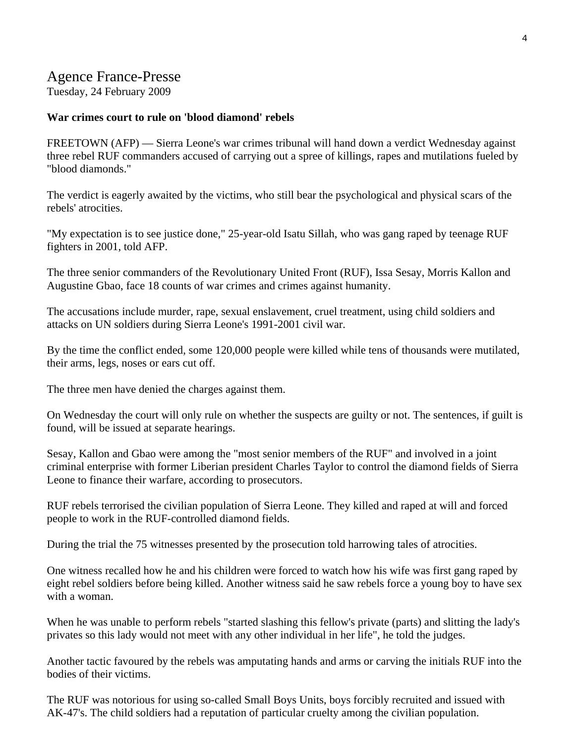# Agence France-Presse

Tuesday, 24 February 2009

#### **War crimes court to rule on 'blood diamond' rebels**

FREETOWN (AFP) — Sierra Leone's war crimes tribunal will hand down a verdict Wednesday against three rebel RUF commanders accused of carrying out a spree of killings, rapes and mutilations fueled by "blood diamonds."

The verdict is eagerly awaited by the victims, who still bear the psychological and physical scars of the rebels' atrocities.

"My expectation is to see justice done," 25-year-old Isatu Sillah, who was gang raped by teenage RUF fighters in 2001, told AFP.

The three senior commanders of the Revolutionary United Front (RUF), Issa Sesay, Morris Kallon and Augustine Gbao, face 18 counts of war crimes and crimes against humanity.

The accusations include murder, rape, sexual enslavement, cruel treatment, using child soldiers and attacks on UN soldiers during Sierra Leone's 1991-2001 civil war.

By the time the conflict ended, some 120,000 people were killed while tens of thousands were mutilated, their arms, legs, noses or ears cut off.

The three men have denied the charges against them.

On Wednesday the court will only rule on whether the suspects are guilty or not. The sentences, if guilt is found, will be issued at separate hearings.

Sesay, Kallon and Gbao were among the "most senior members of the RUF" and involved in a joint criminal enterprise with former Liberian president Charles Taylor to control the diamond fields of Sierra Leone to finance their warfare, according to prosecutors.

RUF rebels terrorised the civilian population of Sierra Leone. They killed and raped at will and forced people to work in the RUF-controlled diamond fields.

During the trial the 75 witnesses presented by the prosecution told harrowing tales of atrocities.

One witness recalled how he and his children were forced to watch how his wife was first gang raped by eight rebel soldiers before being killed. Another witness said he saw rebels force a young boy to have sex with a woman.

When he was unable to perform rebels "started slashing this fellow's private (parts) and slitting the lady's privates so this lady would not meet with any other individual in her life", he told the judges.

Another tactic favoured by the rebels was amputating hands and arms or carving the initials RUF into the bodies of their victims.

The RUF was notorious for using so-called Small Boys Units, boys forcibly recruited and issued with AK-47's. The child soldiers had a reputation of particular cruelty among the civilian population.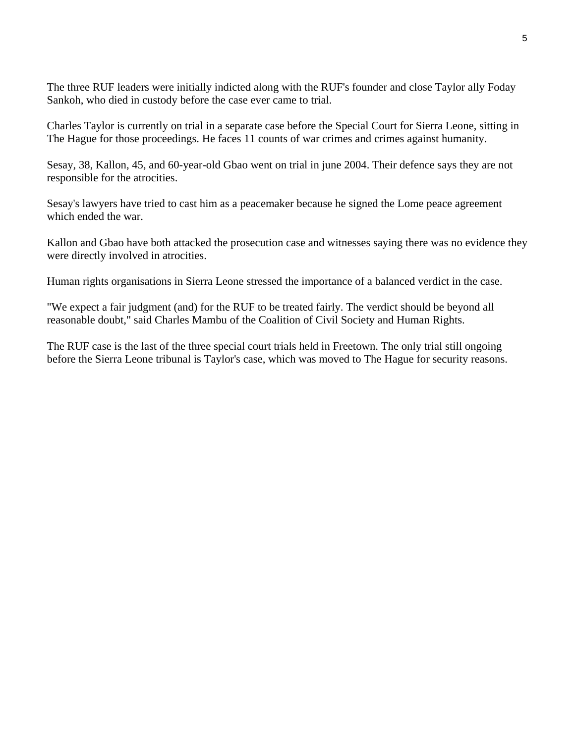The three RUF leaders were initially indicted along with the RUF's founder and close Taylor ally Foday Sankoh, who died in custody before the case ever came to trial.

Charles Taylor is currently on trial in a separate case before the Special Court for Sierra Leone, sitting in The Hague for those proceedings. He faces 11 counts of war crimes and crimes against humanity.

Sesay, 38, Kallon, 45, and 60-year-old Gbao went on trial in june 2004. Their defence says they are not responsible for the atrocities.

Sesay's lawyers have tried to cast him as a peacemaker because he signed the Lome peace agreement which ended the war.

Kallon and Gbao have both attacked the prosecution case and witnesses saying there was no evidence they were directly involved in atrocities.

Human rights organisations in Sierra Leone stressed the importance of a balanced verdict in the case.

"We expect a fair judgment (and) for the RUF to be treated fairly. The verdict should be beyond all reasonable doubt," said Charles Mambu of the Coalition of Civil Society and Human Rights.

The RUF case is the last of the three special court trials held in Freetown. The only trial still ongoing before the Sierra Leone tribunal is Taylor's case, which was moved to The Hague for security reasons.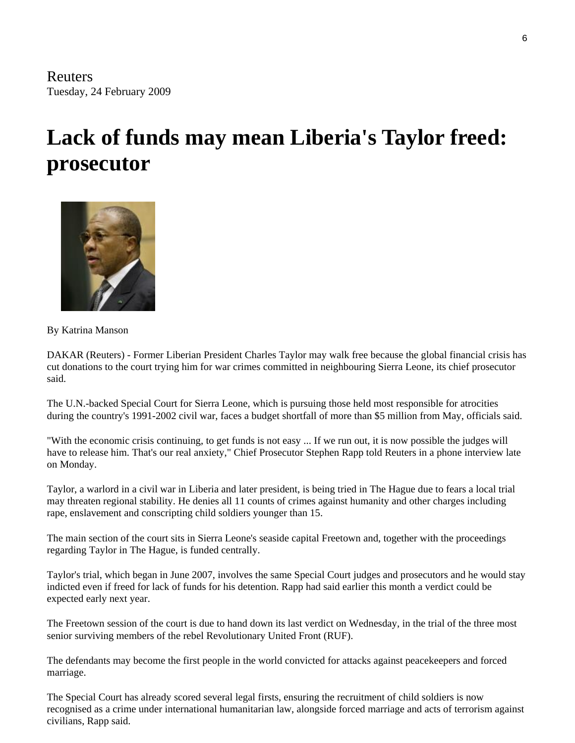# **Lack of funds may mean Liberia's Taylor freed: prosecutor**



By Katrina Manson

DAKAR (Reuters) - Former Liberian President Charles Taylor may walk free because the global financial crisis has cut donations to the court trying him for war crimes committed in neighbouring Sierra Leone, its chief prosecutor said.

The U.N.-backed Special Court for Sierra Leone, which is pursuing those held most responsible for atrocities during the country's 1991-2002 civil war, faces a budget shortfall of more than \$5 million from May, officials said.

"With the economic crisis continuing, to get funds is not easy ... If we run out, it is now possible the judges will have to release him. That's our real anxiety," Chief Prosecutor Stephen Rapp told Reuters in a phone interview late on Monday.

Taylor, a warlord in a civil war in Liberia and later president, is being tried in The Hague due to fears a local trial may threaten regional stability. He denies all 11 counts of crimes against humanity and other charges including rape, enslavement and conscripting child soldiers younger than 15.

The main section of the court sits in Sierra Leone's seaside capital Freetown and, together with the proceedings regarding Taylor in The Hague, is funded centrally.

Taylor's trial, which began in June 2007, involves the same Special Court judges and prosecutors and he would stay indicted even if freed for lack of funds for his detention. Rapp had said earlier this month a verdict could be expected early next year.

The Freetown session of the court is due to hand down its last verdict on Wednesday, in the trial of the three most senior surviving members of the rebel Revolutionary United Front (RUF).

The defendants may become the first people in the world convicted for attacks against peacekeepers and forced marriage.

The Special Court has already scored several legal firsts, ensuring the recruitment of child soldiers is now recognised as a crime under international humanitarian law, alongside forced marriage and acts of terrorism against civilians, Rapp said.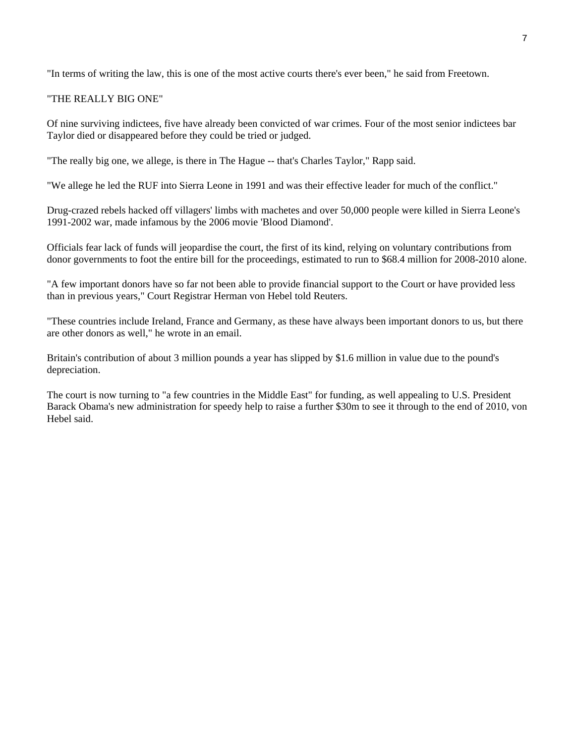"In terms of writing the law, this is one of the most active courts there's ever been," he said from Freetown.

#### "THE REALLY BIG ONE"

Of nine surviving indictees, five have already been convicted of war crimes. Four of the most senior indictees bar Taylor died or disappeared before they could be tried or judged.

"The really big one, we allege, is there in The Hague -- that's Charles Taylor," Rapp said.

"We allege he led the RUF into Sierra Leone in 1991 and was their effective leader for much of the conflict."

Drug-crazed rebels hacked off villagers' limbs with machetes and over 50,000 people were killed in Sierra Leone's 1991-2002 war, made infamous by the 2006 movie 'Blood Diamond'.

Officials fear lack of funds will jeopardise the court, the first of its kind, relying on voluntary contributions from donor governments to foot the entire bill for the proceedings, estimated to run to \$68.4 million for 2008-2010 alone.

"A few important donors have so far not been able to provide financial support to the Court or have provided less than in previous years," Court Registrar Herman von Hebel told Reuters.

"These countries include Ireland, France and Germany, as these have always been important donors to us, but there are other donors as well," he wrote in an email.

Britain's contribution of about 3 million pounds a year has slipped by \$1.6 million in value due to the pound's depreciation.

The court is now turning to "a few countries in the Middle East" for funding, as well appealing to U.S. President Barack Obama's new administration for speedy help to raise a further \$30m to see it through to the end of 2010, von Hebel said.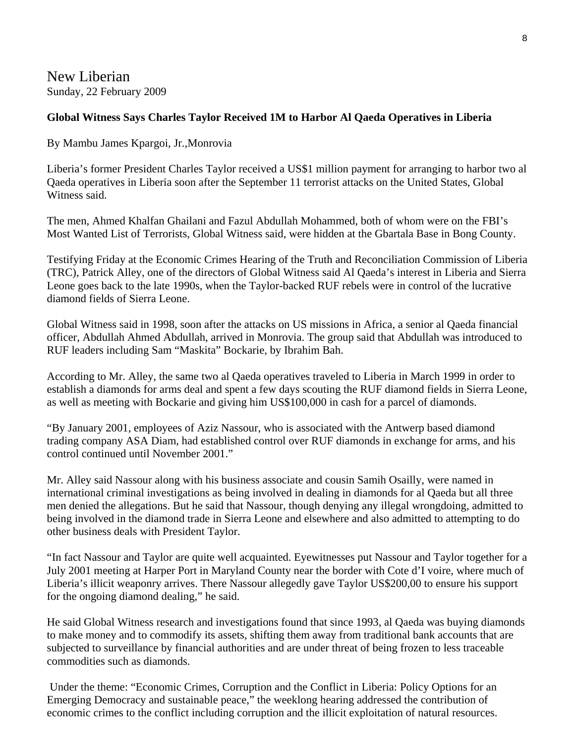New Liberian Sunday, 22 February 2009

#### **Global Witness Says Charles Taylor Received 1M to Harbor Al Qaeda Operatives in Liberia**

By Mambu James Kpargoi, Jr.,Monrovia

Liberia's former President Charles Taylor received a US\$1 million payment for arranging to harbor two al Qaeda operatives in Liberia soon after the September 11 terrorist attacks on the United States, Global Witness said.

The men, Ahmed Khalfan Ghailani and Fazul Abdullah Mohammed, both of whom were on the FBI's Most Wanted List of Terrorists, Global Witness said, were hidden at the Gbartala Base in Bong County.

Testifying Friday at the Economic Crimes Hearing of the Truth and Reconciliation Commission of Liberia (TRC), Patrick Alley, one of the directors of Global Witness said Al Qaeda's interest in Liberia and Sierra Leone goes back to the late 1990s, when the Taylor-backed RUF rebels were in control of the lucrative diamond fields of Sierra Leone.

Global Witness said in 1998, soon after the attacks on US missions in Africa, a senior al Qaeda financial officer, Abdullah Ahmed Abdullah, arrived in Monrovia. The group said that Abdullah was introduced to RUF leaders including Sam "Maskita" Bockarie, by Ibrahim Bah.

According to Mr. Alley, the same two al Qaeda operatives traveled to Liberia in March 1999 in order to establish a diamonds for arms deal and spent a few days scouting the RUF diamond fields in Sierra Leone, as well as meeting with Bockarie and giving him US\$100,000 in cash for a parcel of diamonds.

"By January 2001, employees of Aziz Nassour, who is associated with the Antwerp based diamond trading company ASA Diam, had established control over RUF diamonds in exchange for arms, and his control continued until November 2001."

Mr. Alley said Nassour along with his business associate and cousin Samih Osailly, were named in international criminal investigations as being involved in dealing in diamonds for al Qaeda but all three men denied the allegations. But he said that Nassour, though denying any illegal wrongdoing, admitted to being involved in the diamond trade in Sierra Leone and elsewhere and also admitted to attempting to do other business deals with President Taylor.

"In fact Nassour and Taylor are quite well acquainted. Eyewitnesses put Nassour and Taylor together for a July 2001 meeting at Harper Port in Maryland County near the border with Cote d'I voire, where much of Liberia's illicit weaponry arrives. There Nassour allegedly gave Taylor US\$200,00 to ensure his support for the ongoing diamond dealing," he said.

He said Global Witness research and investigations found that since 1993, al Qaeda was buying diamonds to make money and to commodify its assets, shifting them away from traditional bank accounts that are subjected to surveillance by financial authorities and are under threat of being frozen to less traceable commodities such as diamonds.

 Under the theme: "Economic Crimes, Corruption and the Conflict in Liberia: Policy Options for an Emerging Democracy and sustainable peace," the weeklong hearing addressed the contribution of economic crimes to the conflict including corruption and the illicit exploitation of natural resources.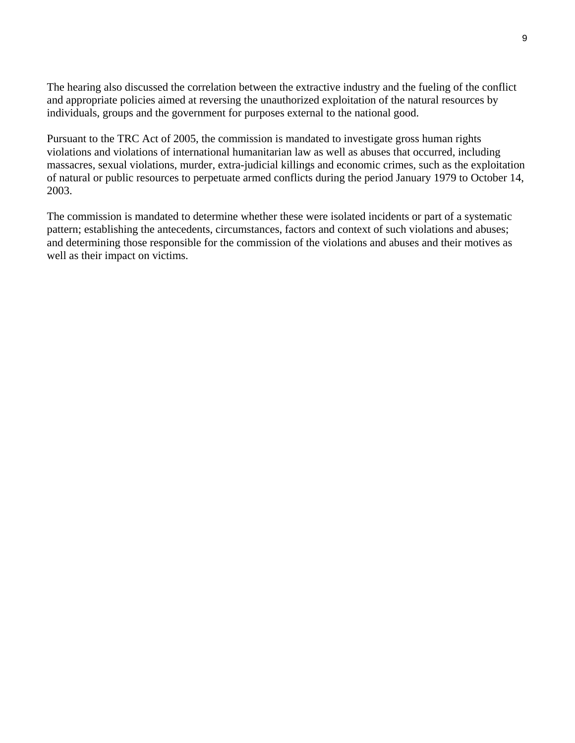The hearing also discussed the correlation between the extractive industry and the fueling of the conflict and appropriate policies aimed at reversing the unauthorized exploitation of the natural resources by individuals, groups and the government for purposes external to the national good.

Pursuant to the TRC Act of 2005, the commission is mandated to investigate gross human rights violations and violations of international humanitarian law as well as abuses that occurred, including massacres, sexual violations, murder, extra-judicial killings and economic crimes, such as the exploitation of natural or public resources to perpetuate armed conflicts during the period January 1979 to October 14, 2003.

The commission is mandated to determine whether these were isolated incidents or part of a systematic pattern; establishing the antecedents, circumstances, factors and context of such violations and abuses; and determining those responsible for the commission of the violations and abuses and their motives as well as their impact on victims.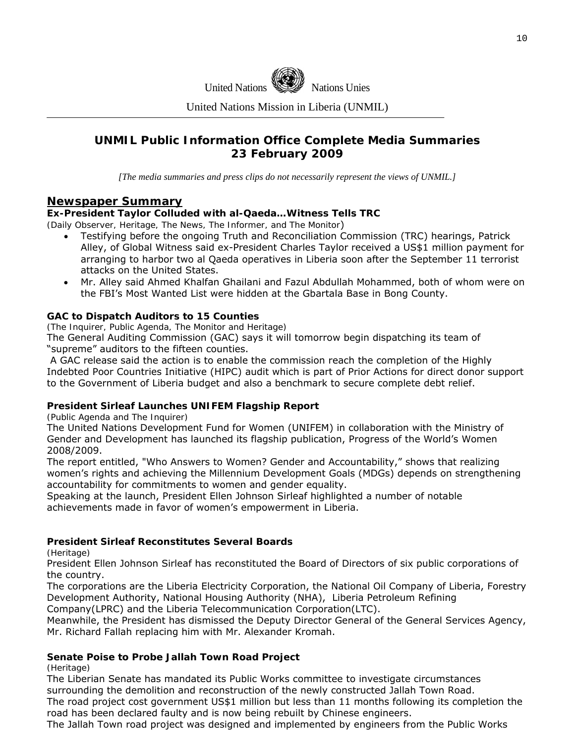

United Nations Mission in Liberia (UNMIL)

### **UNMIL Public Information Office Complete Media Summaries 23 February 2009**

*[The media summaries and press clips do not necessarily represent the views of UNMIL.]* 

#### **Newspaper Summary**

#### **Ex-President Taylor Colluded with al-Qaeda…Witness Tells TRC**

*(Daily Observer, Heritage, The News, The Informer, and The Monitor*)

- Testifying before the ongoing Truth and Reconciliation Commission (TRC) hearings, Patrick Alley, of Global Witness said ex-President Charles Taylor received a US\$1 million payment for arranging to harbor two al Qaeda operatives in Liberia soon after the September 11 terrorist attacks on the United States.
- Mr. Alley said Ahmed Khalfan Ghailani and Fazul Abdullah Mohammed, both of whom were on the FBI's Most Wanted List were hidden at the Gbartala Base in Bong County.

#### **GAC to Dispatch Auditors to 15 Counties**

*(The Inquirer, Public Agenda, The Monitor and Heritage)* 

The General Auditing Commission (GAC) says it will tomorrow begin dispatching its team of "supreme" auditors to the fifteen counties.

 A GAC release said the action is to enable the commission reach the completion of the Highly Indebted Poor Countries Initiative (HIPC) audit which is part of Prior Actions for direct donor support to the Government of Liberia budget and also a benchmark to secure complete debt relief.

#### **President Sirleaf Launches UNIFEM Flagship Report**

*(Public Agenda and The Inquirer)*

The United Nations Development Fund for Women (UNIFEM) in collaboration with the Ministry of Gender and Development has launched its flagship publication, Progress of the World's Women 2008/2009.

The report entitled, "Who Answers to Women? Gender and Accountability," shows that realizing women's rights and achieving the Millennium Development Goals (MDGs) depends on strengthening accountability for commitments to women and gender equality.

Speaking at the launch, President Ellen Johnson Sirleaf highlighted a number of notable achievements made in favor of women's empowerment in Liberia.

#### **President Sirleaf Reconstitutes Several Boards**

*(Heritage)*

President Ellen Johnson Sirleaf has reconstituted the Board of Directors of six public corporations of the country.

The corporations are the Liberia Electricity Corporation, the National Oil Company of Liberia, Forestry Development Authority, National Housing Authority (NHA), Liberia Petroleum Refining

Company(LPRC) and the Liberia Telecommunication Corporation(LTC).

Meanwhile, the President has dismissed the Deputy Director General of the General Services Agency, Mr. Richard Fallah replacing him with Mr. Alexander Kromah.

#### **Senate Poise to Probe Jallah Town Road Project**

*(Heritage)*

The Liberian Senate has mandated its Public Works committee to investigate circumstances surrounding the demolition and reconstruction of the newly constructed Jallah Town Road.

The road project cost government US\$1 million but less than 11 months following its completion the road has been declared faulty and is now being rebuilt by Chinese engineers.

The Jallah Town road project was designed and implemented by engineers from the Public Works